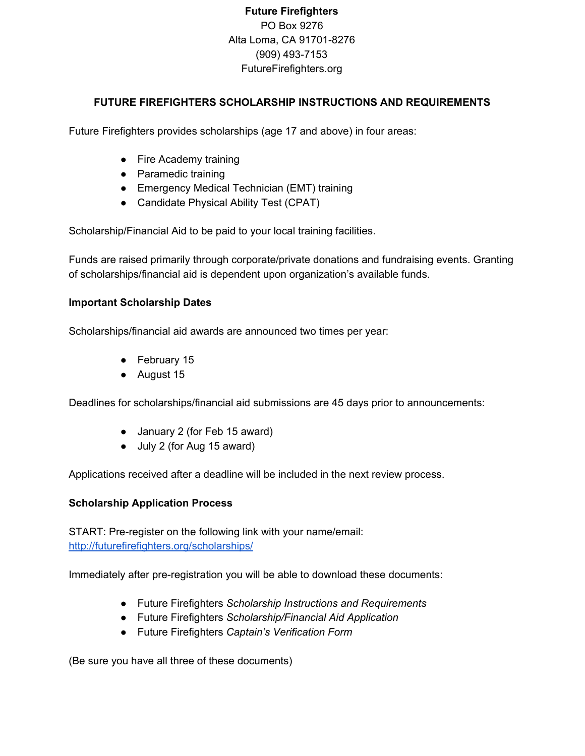# **Future Firefighters** PO Box 9276 Alta Loma, CA 91701-8276 (909) 493-7153 FutureFirefighters.org

### **FUTURE FIREFIGHTERS SCHOLARSHIP INSTRUCTIONS AND REQUIREMENTS**

Future Firefighters provides scholarships (age 17 and above) in four areas:

- Fire Academy training
- Paramedic training
- Emergency Medical Technician (EMT) training
- Candidate Physical Ability Test (CPAT)

Scholarship/Financial Aid to be paid to your local training facilities.

Funds are raised primarily through corporate/private donations and fundraising events. Granting of scholarships/financial aid is dependent upon organization's available funds.

#### **Important Scholarship Dates**

Scholarships/financial aid awards are announced two times per year:

- February 15
- August 15

Deadlines for scholarships/financial aid submissions are 45 days prior to announcements:

- January 2 (for Feb 15 award)
- July 2 (for Aug 15 award)

Applications received after a deadline will be included in the next review process.

#### **Scholarship Application Process**

START: Pre-register on the following link with your name/email: <http://futurefirefighters.org/scholarships/>

Immediately after pre-registration you will be able to download these documents:

- Future Firefighters *Scholarship Instructions and Requirements*
- Future Firefighters *Scholarship/Financial Aid Application*
- Future Firefighters *Captain's Verification Form*

(Be sure you have all three of these documents)